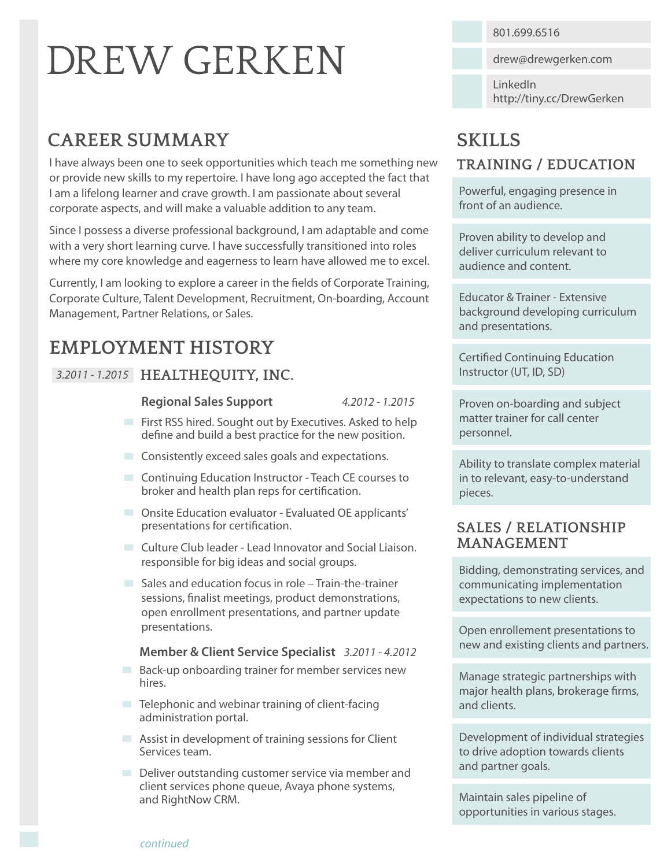# **DREW GERKEN**

# **CAREER SUMMARY**

I have always been one to seek opportunities which teach me something new or provide new skills to my repertoire. I have long ago accepted the fact that I am a lifelong learner and crave growth. I am passionate about several corporate aspects, and will make a valuable addition to any team.

Since I possess a diverse professional background, I am adaptable and come with a very short learning curve. I have successfully transitioned into roles where my core knowledge and eagerness to learn have allowed me to excel.

Currently, I am looking to explore a career in the fields of Corporate Training, Corporate Culture, Talent Development, Recruitment, On-boarding, Account Management, Partner Relations, or Sales.

# **EMPLOYMENT HISTORY**

#### *3.2011 - 1.2015* **HEALTHEQUITY, INC.**

#### **Regional Sales Support**

*4.2012 - 1.2015*

- First RSS hired. Sought out by Executives. Asked to help define and build a best practice for the new position.
- Consistently exceed sales goals and expectations.
- **Continuing Education Instructor Teach CE courses to** broker and health plan reps for certification.
- **DE Onsite Education evaluator Evaluated OE applicants'** presentations for certification.
- **Culture Club leader Lead Innovator and Social Liaison.** responsible for big ideas and social groups.
- Sales and education focus in role Train-the-trainer sessions, finalist meetings, product demonstrations, open enrollment presentations, and partner update presentations.

#### **Member & Client Service Specialist** *3.2011 - 4.2012*

- **Back-up onboarding trainer for member services new** hires.
- $\blacksquare$  Telephonic and webinar training of client-facing administration portal.
- **Assist in development of training sessions for Client** Services team.
- Deliver outstanding customer service via member and client services phone queue, Avaya phone systems, and RightNow CRM.

801.699.6516

drew@drewgerken.com

LinkedIn http://tiny.cc/DrewGerken

# **SKILLS**

#### **TRAINING / EDUCATION**

Powerful, engaging presence in front of an audience.

Proven ability to develop and deliver curriculum relevant to audience and content.

Educator & Trainer - Extensive background developing curriculum and presentations.

**Certified Continuing Education** Instructor (UT, ID, SD)

Proven on-boarding and subject matter trainer for call center personnel.

Ability to translate complex material in to relevant, easy-to-understand pieces.

#### **SALES / RELATIONSHIP MANAGEMENT**

Bidding, demonstrating services, and communicating implementation expectations to new clients.

Open enrollement presentations to new and existing clients and partners.

Manage strategic partnerships with major health plans, brokerage firms, and clients.

Development of individual strategies to drive adoption towards clients and partner goals.

Maintain sales pipeline of opportunities in various stages.